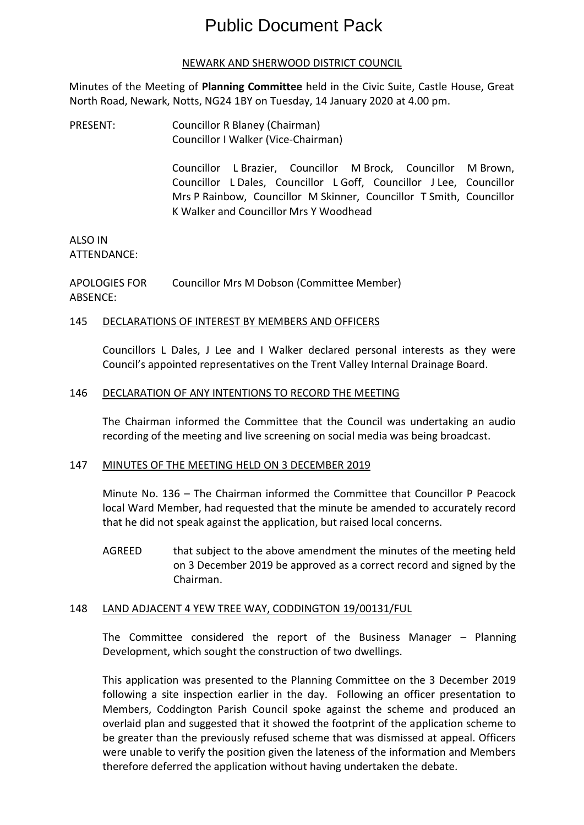# Public Document Pack

## NEWARK AND SHERWOOD DISTRICT COUNCIL

Minutes of the Meeting of **Planning Committee** held in the Civic Suite, Castle House, Great North Road, Newark, Notts, NG24 1BY on Tuesday, 14 January 2020 at 4.00 pm.

PRESENT: Councillor R Blaney (Chairman) Councillor I Walker (Vice-Chairman)

> Councillor L Brazier, Councillor M Brock, Councillor M Brown, Councillor L Dales, Councillor L Goff, Councillor J Lee, Councillor Mrs P Rainbow, Councillor M Skinner, Councillor T Smith, Councillor K Walker and Councillor Mrs Y Woodhead

#### ALSO IN ATTENDANCE:

APOLOGIES FOR ABSENCE: Councillor Mrs M Dobson (Committee Member)

## 145 DECLARATIONS OF INTEREST BY MEMBERS AND OFFICERS

Councillors L Dales, J Lee and I Walker declared personal interests as they were Council's appointed representatives on the Trent Valley Internal Drainage Board.

## 146 DECLARATION OF ANY INTENTIONS TO RECORD THE MEETING

The Chairman informed the Committee that the Council was undertaking an audio recording of the meeting and live screening on social media was being broadcast.

## 147 MINUTES OF THE MEETING HELD ON 3 DECEMBER 2019

Minute No. 136 – The Chairman informed the Committee that Councillor P Peacock local Ward Member, had requested that the minute be amended to accurately record that he did not speak against the application, but raised local concerns.

AGREED that subject to the above amendment the minutes of the meeting held on 3 December 2019 be approved as a correct record and signed by the Chairman.

## 148 LAND ADJACENT 4 YEW TREE WAY, CODDINGTON 19/00131/FUL

The Committee considered the report of the Business Manager – Planning Development, which sought the construction of two dwellings.

This application was presented to the Planning Committee on the 3 December 2019 following a site inspection earlier in the day. Following an officer presentation to Members, Coddington Parish Council spoke against the scheme and produced an overlaid plan and suggested that it showed the footprint of the application scheme to be greater than the previously refused scheme that was dismissed at appeal. Officers were unable to verify the position given the lateness of the information and Members therefore deferred the application without having undertaken the debate.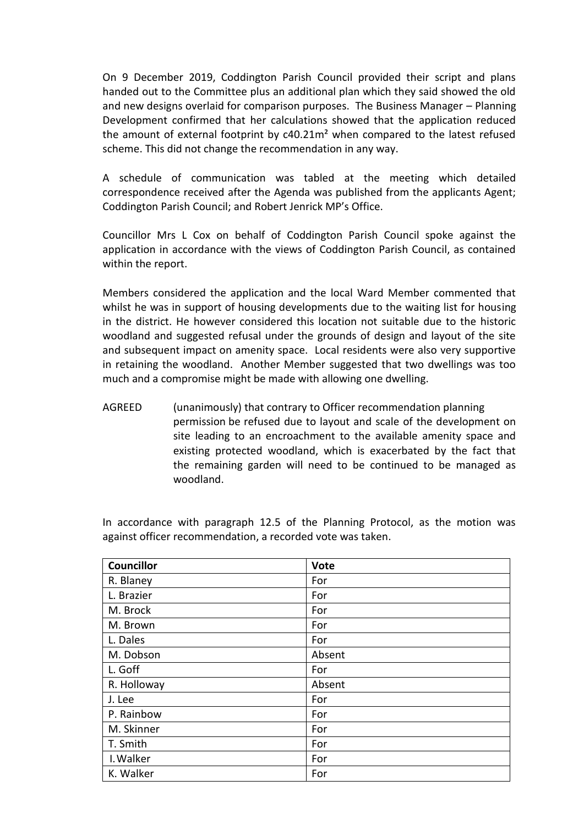On 9 December 2019, Coddington Parish Council provided their script and plans handed out to the Committee plus an additional plan which they said showed the old and new designs overlaid for comparison purposes. The Business Manager – Planning Development confirmed that her calculations showed that the application reduced the amount of external footprint by c40.21m² when compared to the latest refused scheme. This did not change the recommendation in any way.

A schedule of communication was tabled at the meeting which detailed correspondence received after the Agenda was published from the applicants Agent; Coddington Parish Council; and Robert Jenrick MP's Office.

Councillor Mrs L Cox on behalf of Coddington Parish Council spoke against the application in accordance with the views of Coddington Parish Council, as contained within the report.

Members considered the application and the local Ward Member commented that whilst he was in support of housing developments due to the waiting list for housing in the district. He however considered this location not suitable due to the historic woodland and suggested refusal under the grounds of design and layout of the site and subsequent impact on amenity space. Local residents were also very supportive in retaining the woodland. Another Member suggested that two dwellings was too much and a compromise might be made with allowing one dwelling.

AGREED (unanimously) that contrary to Officer recommendation planning permission be refused due to layout and scale of the development on site leading to an encroachment to the available amenity space and existing protected woodland, which is exacerbated by the fact that the remaining garden will need to be continued to be managed as woodland.

In accordance with paragraph 12.5 of the Planning Protocol, as the motion was against officer recommendation, a recorded vote was taken.

| <b>Councillor</b> | <b>Vote</b> |
|-------------------|-------------|
| R. Blaney         | For         |
| L. Brazier        | For         |
| M. Brock          | For         |
| M. Brown          | For         |
| L. Dales          | For         |
| M. Dobson         | Absent      |
| L. Goff           | For         |
| R. Holloway       | Absent      |
| J. Lee            | For         |
| P. Rainbow        | For         |
| M. Skinner        | For         |
| T. Smith          | For         |
| I. Walker         | For         |
| K. Walker         | For         |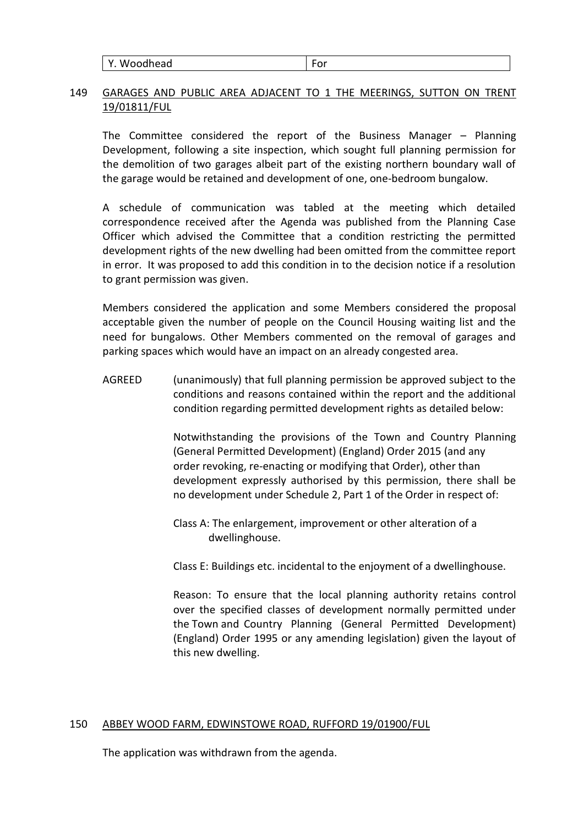| Y. Woodhead | --<br>-υ. |
|-------------|-----------|
|-------------|-----------|

## 149 GARAGES AND PUBLIC AREA ADJACENT TO 1 THE MEERINGS, SUTTON ON TRENT 19/01811/FUL

The Committee considered the report of the Business Manager – Planning Development, following a site inspection, which sought full planning permission for the demolition of two garages albeit part of the existing northern boundary wall of the garage would be retained and development of one, one-bedroom bungalow.

A schedule of communication was tabled at the meeting which detailed correspondence received after the Agenda was published from the Planning Case Officer which advised the Committee that a condition restricting the permitted development rights of the new dwelling had been omitted from the committee report in error. It was proposed to add this condition in to the decision notice if a resolution to grant permission was given.

Members considered the application and some Members considered the proposal acceptable given the number of people on the Council Housing waiting list and the need for bungalows. Other Members commented on the removal of garages and parking spaces which would have an impact on an already congested area.

AGREED (unanimously) that full planning permission be approved subject to the conditions and reasons contained within the report and the additional condition regarding permitted development rights as detailed below:

> Notwithstanding the provisions of the Town and Country Planning (General Permitted Development) (England) Order 2015 (and any order revoking, re-enacting or modifying that Order), other than development expressly authorised by this permission, there shall be no development under Schedule 2, Part 1 of the Order in respect of:

Class A: The enlargement, improvement or other alteration of a dwellinghouse.

Class E: Buildings etc. incidental to the enjoyment of a dwellinghouse.

Reason: To ensure that the local planning authority retains control over the specified classes of development normally permitted under the Town and Country Planning (General Permitted Development) (England) Order 1995 or any amending legislation) given the layout of this new dwelling.

## 150 ABBEY WOOD FARM, EDWINSTOWE ROAD, RUFFORD 19/01900/FUL

The application was withdrawn from the agenda.